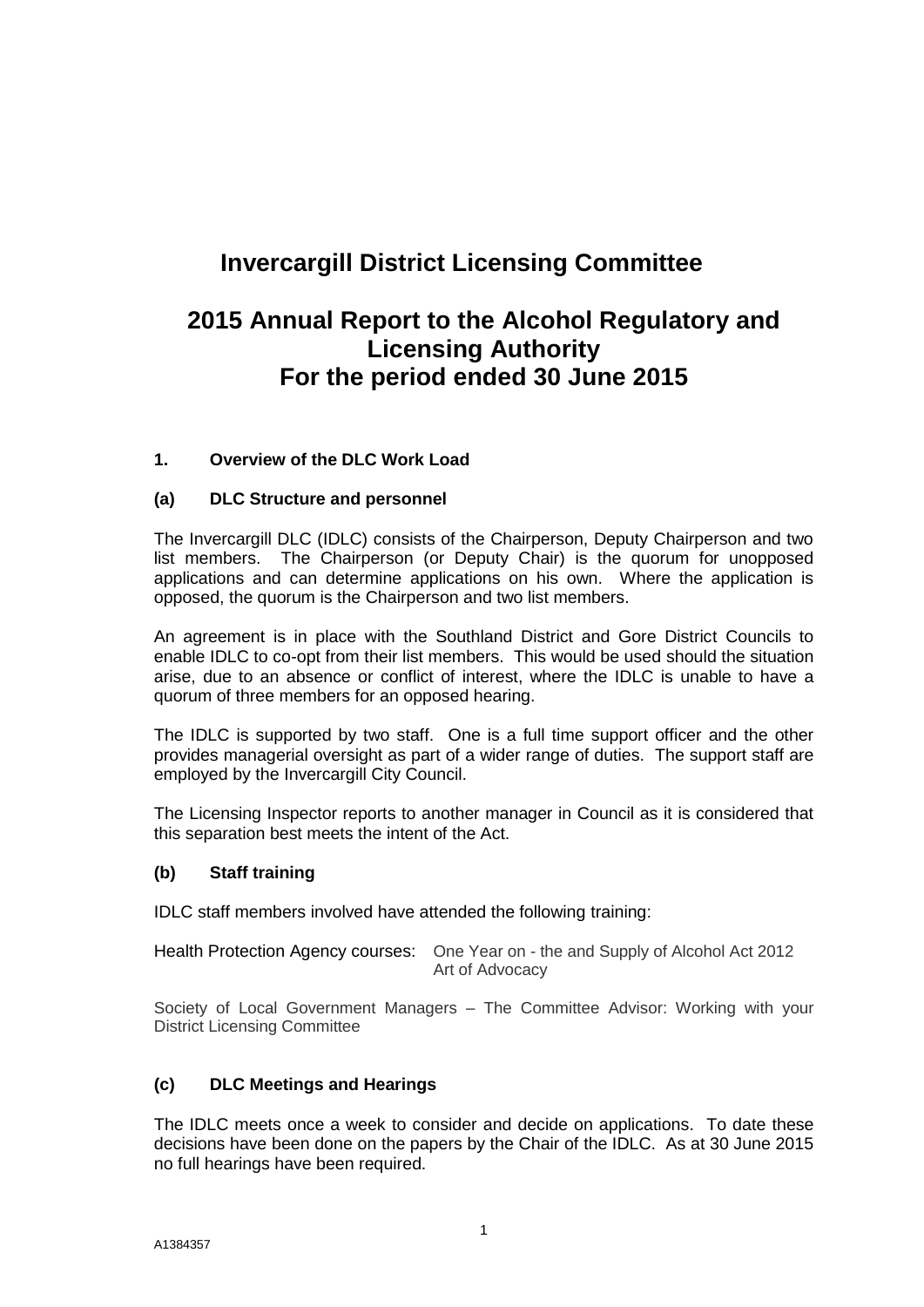### **Invercargill District Licensing Committee**

### **2015 Annual Report to the Alcohol Regulatory and Licensing Authority For the period ended 30 June 2015**

### **1. Overview of the DLC Work Load**

### **(a) DLC Structure and personnel**

The Invercargill DLC (IDLC) consists of the Chairperson, Deputy Chairperson and two list members. The Chairperson (or Deputy Chair) is the quorum for unopposed applications and can determine applications on his own. Where the application is opposed, the quorum is the Chairperson and two list members.

An agreement is in place with the Southland District and Gore District Councils to enable IDLC to co-opt from their list members. This would be used should the situation arise, due to an absence or conflict of interest, where the IDLC is unable to have a quorum of three members for an opposed hearing.

The IDLC is supported by two staff. One is a full time support officer and the other provides managerial oversight as part of a wider range of duties. The support staff are employed by the Invercargill City Council.

The Licensing Inspector reports to another manager in Council as it is considered that this separation best meets the intent of the Act.

### **(b) Staff training**

IDLC staff members involved have attended the following training:

Health Protection Agency courses: One Year on - the and Supply of Alcohol Act 2012 Art of Advocacy

Society of Local Government Managers – The Committee Advisor: Working with your District Licensing Committee

### **(c) DLC Meetings and Hearings**

The IDLC meets once a week to consider and decide on applications. To date these decisions have been done on the papers by the Chair of the IDLC. As at 30 June 2015 no full hearings have been required.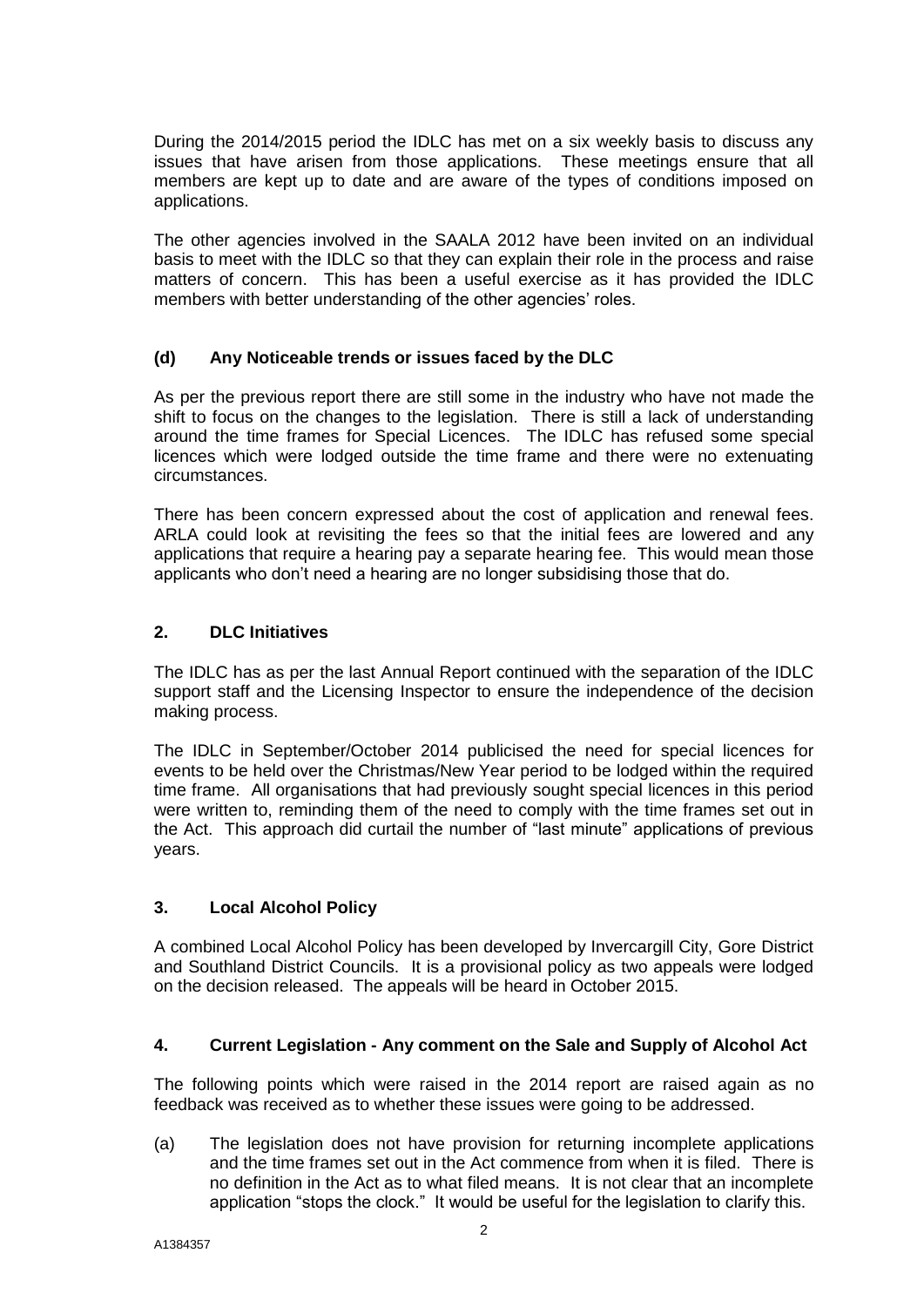During the 2014/2015 period the IDLC has met on a six weekly basis to discuss any issues that have arisen from those applications. These meetings ensure that all members are kept up to date and are aware of the types of conditions imposed on applications.

The other agencies involved in the SAALA 2012 have been invited on an individual basis to meet with the IDLC so that they can explain their role in the process and raise matters of concern. This has been a useful exercise as it has provided the IDLC members with better understanding of the other agencies' roles.

### **(d) Any Noticeable trends or issues faced by the DLC**

As per the previous report there are still some in the industry who have not made the shift to focus on the changes to the legislation. There is still a lack of understanding around the time frames for Special Licences. The IDLC has refused some special licences which were lodged outside the time frame and there were no extenuating circumstances.

There has been concern expressed about the cost of application and renewal fees. ARLA could look at revisiting the fees so that the initial fees are lowered and any applications that require a hearing pay a separate hearing fee. This would mean those applicants who don't need a hearing are no longer subsidising those that do.

### **2. DLC Initiatives**

The IDLC has as per the last Annual Report continued with the separation of the IDLC support staff and the Licensing Inspector to ensure the independence of the decision making process.

The IDLC in September/October 2014 publicised the need for special licences for events to be held over the Christmas/New Year period to be lodged within the required time frame. All organisations that had previously sought special licences in this period were written to, reminding them of the need to comply with the time frames set out in the Act. This approach did curtail the number of "last minute" applications of previous years.

### **3. Local Alcohol Policy**

A combined Local Alcohol Policy has been developed by Invercargill City, Gore District and Southland District Councils. It is a provisional policy as two appeals were lodged on the decision released. The appeals will be heard in October 2015.

### **4. Current Legislation - Any comment on the Sale and Supply of Alcohol Act**

The following points which were raised in the 2014 report are raised again as no feedback was received as to whether these issues were going to be addressed.

(a) The legislation does not have provision for returning incomplete applications and the time frames set out in the Act commence from when it is filed. There is no definition in the Act as to what filed means. It is not clear that an incomplete application "stops the clock." It would be useful for the legislation to clarify this.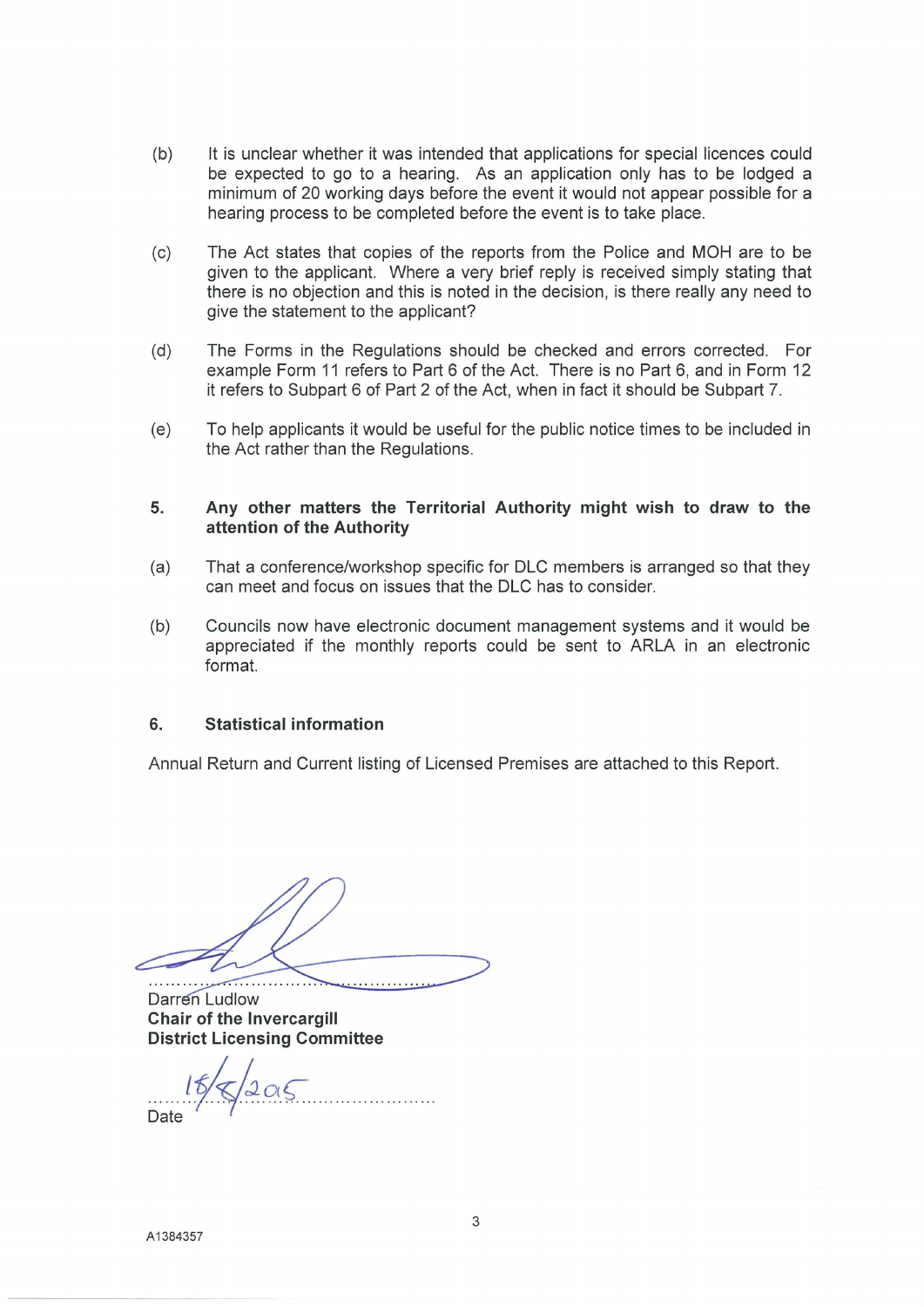- $(b)$ It is unclear whether it was intended that applications for special licences could be expected to go to a hearing. As an application only has to be lodged a minimum of 20 working days before the event it would not appear possible for a hearing process to be completed before the event is to take place.
- $(c)$ The Act states that copies of the reports from the Police and MOH are to be given to the applicant. Where a very brief reply is received simply stating that there is no objection and this is noted in the decision, is there really any need to give the statement to the applicant?
- The Forms in the Regulations should be checked and errors corrected. For  $(d)$ example Form 11 refers to Part 6 of the Act. There is no Part 6, and in Form 12 it refers to Subpart 6 of Part 2 of the Act, when in fact it should be Subpart 7.
- To help applicants it would be useful for the public notice times to be included in  $(e)$ the Act rather than the Regulations.

### 5. Any other matters the Territorial Authority might wish to draw to the attention of the Authority

- That a conference/workshop specific for DLC members is arranged so that they  $(a)$ can meet and focus on issues that the DLC has to consider.
- Councils now have electronic document management systems and it would be  $(b)$ appreciated if the monthly reports could be sent to ARLA in an electronic format.

### $6.$ **Statistical information**

Annual Return and Current listing of Licensed Premises are attached to this Report.

Darren Ludlow Chair of the Invercargill **District Licensing Committee**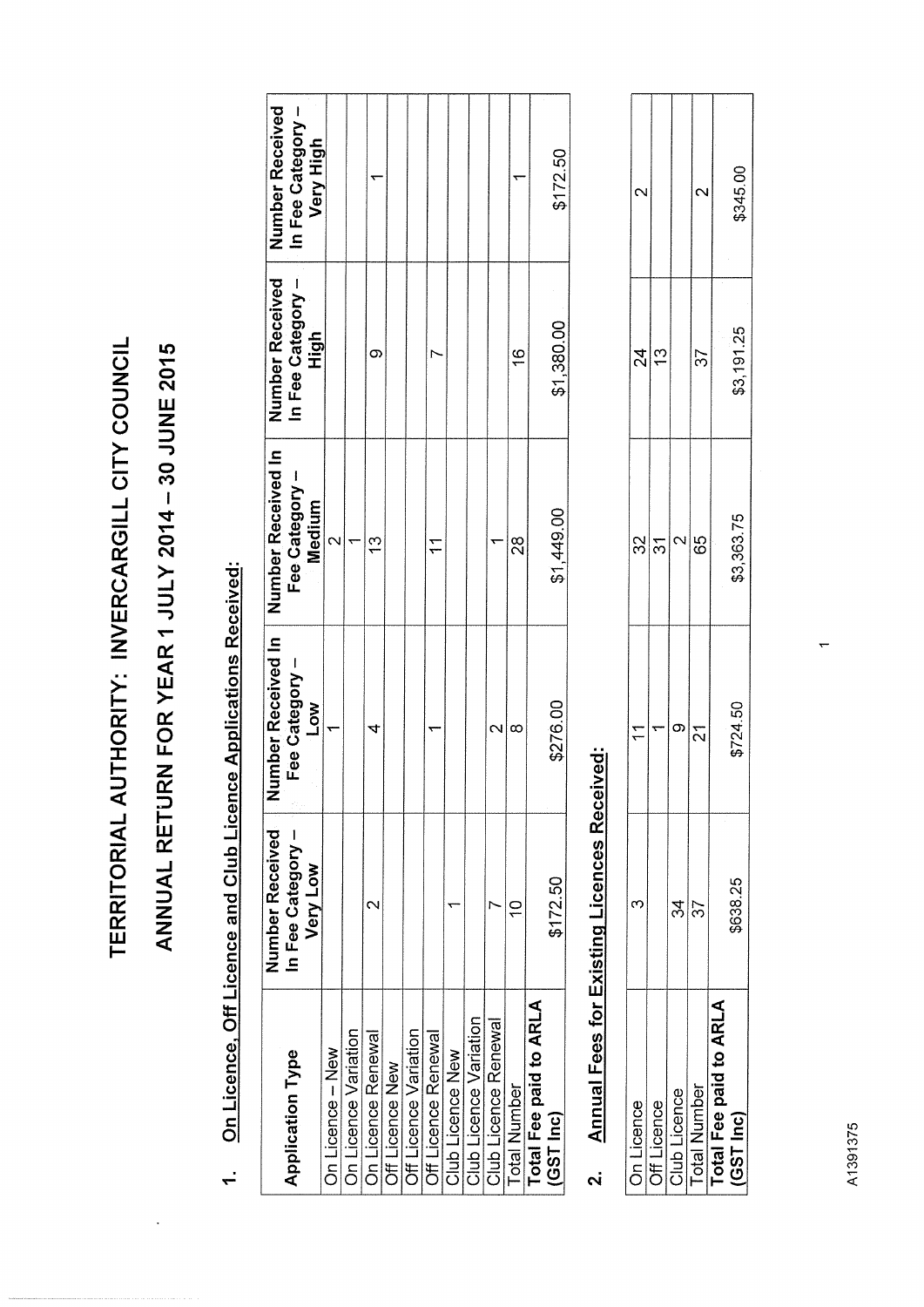TERRITORIAL AUTHORITY: INVERCARGILL CITY COUNCIL

# ANNUAL RETURN FOR YEAR 1 JULY 2014 - 30 JUNE 2015

# On Licence, Off Licence and Club Licence Applications Received:  $\dot{r}$

|                         | Number Received   | Number Received In | Number Received In | Number Received   | Number Received   |
|-------------------------|-------------------|--------------------|--------------------|-------------------|-------------------|
| <b>Application Type</b> | In Fee Category - | Fee Category -     | Fee Category -     | In Fee Category - | In Fee Category - |
|                         | Very Low          | Low                | <b>Medium</b>      | High              | <b>Very High</b>  |
| On Licence - New        |                   |                    |                    |                   |                   |
| On Licence Variation    |                   |                    |                    |                   |                   |
| On Licence Renewal      |                   |                    | $\frac{3}{2}$      | σ.                |                   |
| Off Licence New         |                   |                    |                    |                   |                   |
| Off Licence Variation   |                   |                    |                    |                   |                   |
| Off Licence Renewal     |                   |                    |                    |                   |                   |
| Club Licence New        |                   |                    |                    |                   |                   |
| Club Licence Variation  |                   |                    |                    |                   |                   |
| Club Licence Renewal    |                   |                    |                    |                   |                   |
| <b>Total Number</b>     |                   | ∝                  | $\frac{8}{2}$      | $\frac{6}{1}$     |                   |
| Total Fee paid to ARLA  |                   |                    |                    |                   |                   |
| (GST Inc)               | \$172.50          | \$276.00           | \$1,449.00         | \$1,380.00        | \$172.50          |
|                         |                   |                    |                    |                   |                   |

# **Annual Fees for Existing Licences Received:**  $\overline{a}$

| On Licence            |        |          | S)         |               |          |
|-----------------------|--------|----------|------------|---------------|----------|
| Off Licence           |        |          |            | $\frac{3}{2}$ |          |
| <b>Club Licence</b>   | 24     |          |            |               |          |
| i'otal Number         | י<br>? |          | မိ         | 37            |          |
| otal Fee paid to ARLA |        |          |            |               |          |
| GST Inc)              | 638.25 | \$724.50 | \$3,363.75 | \$3,191.25    | \$345.00 |